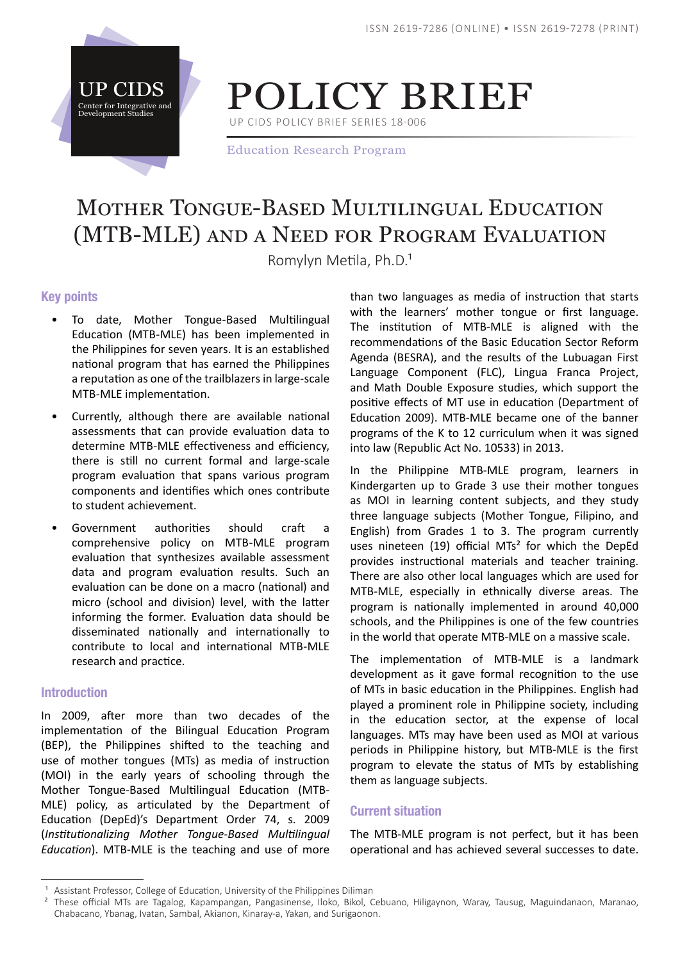

POLICY BRIEF

UP CIDS POLICY BRIEF SERIES 18-006

Education Research Program

# Mother Tongue-Based Multilingual Education (MTB-MLE) and a Need for Program Evaluation

Romylyn Metila, Ph.D.<sup>1</sup>

# Key points

- To date, Mother Tongue-Based Multilingual Education (MTB-MLE) has been implemented in the Philippines for seven years. It is an established national program that has earned the Philippines a reputation as one of the trailblazers in large-scale MTB-MLE implementation.
- Currently, although there are available national assessments that can provide evaluation data to determine MTB-MLE effectiveness and efficiency, there is still no current formal and large-scale program evaluation that spans various program components and identifies which ones contribute to student achievement.
- Government authorities should craft a comprehensive policy on MTB-MLE program evaluation that synthesizes available assessment data and program evaluation results. Such an evaluation can be done on a macro (national) and micro (school and division) level, with the latter informing the former. Evaluation data should be disseminated nationally and internationally to contribute to local and international MTB-MLE research and practice.

## Introduction

In 2009, after more than two decades of the implementation of the Bilingual Education Program (BEP), the Philippines shifted to the teaching and use of mother tongues (MTs) as media of instruction (MOI) in the early years of schooling through the Mother Tongue-Based Multilingual Education (MTB-MLE) policy, as articulated by the Department of Education (DepEd)'s Department Order 74, s. 2009 (*Institutionalizing Mother Tongue-Based Multilingual Education*). MTB-MLE is the teaching and use of more

than two languages as media of instruction that starts with the learners' mother tongue or first language. The institution of MTB-MLE is aligned with the recommendations of the Basic Education Sector Reform Agenda (BESRA), and the results of the Lubuagan First Language Component (FLC), Lingua Franca Project, and Math Double Exposure studies, which support the positive effects of MT use in education (Department of Education 2009). MTB-MLE became one of the banner programs of the K to 12 curriculum when it was signed into law (Republic Act No. 10533) in 2013.

In the Philippine MTB-MLE program, learners in Kindergarten up to Grade 3 use their mother tongues as MOI in learning content subjects, and they study three language subjects (Mother Tongue, Filipino, and English) from Grades 1 to 3. The program currently uses nineteen (19) official MTs<sup>2</sup> for which the DepEd provides instructional materials and teacher training. There are also other local languages which are used for MTB-MLE, especially in ethnically diverse areas. The program is nationally implemented in around 40,000 schools, and the Philippines is one of the few countries in the world that operate MTB-MLE on a massive scale.

The implementation of MTB-MLE is a landmark development as it gave formal recognition to the use of MTs in basic education in the Philippines. English had played a prominent role in Philippine society, including in the education sector, at the expense of local languages. MTs may have been used as MOI at various periods in Philippine history, but MTB-MLE is the first program to elevate the status of MTs by establishing them as language subjects.

## Current situation

The MTB-MLE program is not perfect, but it has been operational and has achieved several successes to date.

Assistant Professor, College of Education, University of the Philippines Diliman

<sup>&</sup>lt;sup>2</sup> These official MTs are Tagalog, Kapampangan, Pangasinense, Iloko, Bikol, Cebuano, Hiligaynon, Waray, Tausug, Maguindanaon, Maranao, Chabacano, Ybanag, Ivatan, Sambal, Akianon, Kinaray-a, Yakan, and Surigaonon.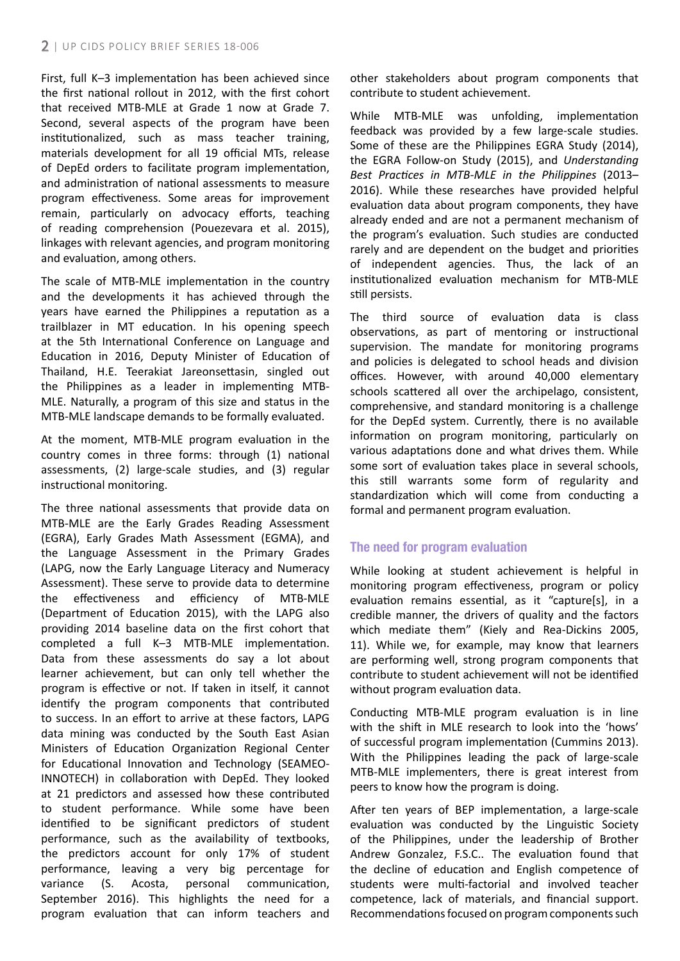First, full K–3 implementation has been achieved since the first national rollout in 2012, with the first cohort that received MTB-MLE at Grade 1 now at Grade 7. Second, several aspects of the program have been institutionalized, such as mass teacher training, materials development for all 19 official MTs, release of DepEd orders to facilitate program implementation, and administration of national assessments to measure program effectiveness. Some areas for improvement remain, particularly on advocacy efforts, teaching of reading comprehension (Pouezevara et al. 2015), linkages with relevant agencies, and program monitoring and evaluation, among others.

The scale of MTB-MLE implementation in the country and the developments it has achieved through the years have earned the Philippines a reputation as a trailblazer in MT education. In his opening speech at the 5th International Conference on Language and Education in 2016, Deputy Minister of Education of Thailand, H.E. Teerakiat Jareonsettasin, singled out the Philippines as a leader in implementing MTB-MLE. Naturally, a program of this size and status in the MTB-MLE landscape demands to be formally evaluated.

At the moment, MTB-MLE program evaluation in the country comes in three forms: through (1) national assessments, (2) large-scale studies, and (3) regular instructional monitoring.

The three national assessments that provide data on MTB-MLE are the Early Grades Reading Assessment (EGRA), Early Grades Math Assessment (EGMA), and the Language Assessment in the Primary Grades (LAPG, now the Early Language Literacy and Numeracy Assessment). These serve to provide data to determine the effectiveness and efficiency of MTB-MLE (Department of Education 2015), with the LAPG also providing 2014 baseline data on the first cohort that completed a full K–3 MTB-MLE implementation. Data from these assessments do say a lot about learner achievement, but can only tell whether the program is effective or not. If taken in itself, it cannot identify the program components that contributed to success. In an effort to arrive at these factors, LAPG data mining was conducted by the South East Asian Ministers of Education Organization Regional Center for Educational Innovation and Technology (SEAMEO-INNOTECH) in collaboration with DepEd. They looked at 21 predictors and assessed how these contributed to student performance. While some have been identified to be significant predictors of student performance, such as the availability of textbooks, the predictors account for only 17% of student performance, leaving a very big percentage for variance (S. Acosta, personal communication, September 2016). This highlights the need for a program evaluation that can inform teachers and

other stakeholders about program components that contribute to student achievement.

While MTB-MLE was unfolding, implementation feedback was provided by a few large-scale studies. Some of these are the Philippines EGRA Study (2014), the EGRA Follow-on Study (2015), and *Understanding Best Practices in MTB-MLE in the Philippines* (2013– 2016). While these researches have provided helpful evaluation data about program components, they have already ended and are not a permanent mechanism of the program's evaluation. Such studies are conducted rarely and are dependent on the budget and priorities of independent agencies. Thus, the lack of an institutionalized evaluation mechanism for MTB-MLE still persists.

The third source of evaluation data is class observations, as part of mentoring or instructional supervision. The mandate for monitoring programs and policies is delegated to school heads and division offices. However, with around 40,000 elementary schools scattered all over the archipelago, consistent, comprehensive, and standard monitoring is a challenge for the DepEd system. Currently, there is no available information on program monitoring, particularly on various adaptations done and what drives them. While some sort of evaluation takes place in several schools, this still warrants some form of regularity and standardization which will come from conducting a formal and permanent program evaluation.

# The need for program evaluation

While looking at student achievement is helpful in monitoring program effectiveness, program or policy evaluation remains essential, as it "capture[s], in a credible manner, the drivers of quality and the factors which mediate them" (Kiely and Rea-Dickins 2005, 11). While we, for example, may know that learners are performing well, strong program components that contribute to student achievement will not be identified without program evaluation data.

Conducting MTB-MLE program evaluation is in line with the shift in MLE research to look into the 'hows' of successful program implementation (Cummins 2013). With the Philippines leading the pack of large-scale MTB-MLE implementers, there is great interest from peers to know how the program is doing.

After ten years of BEP implementation, a large-scale evaluation was conducted by the Linguistic Society of the Philippines, under the leadership of Brother Andrew Gonzalez, F.S.C.. The evaluation found that the decline of education and English competence of students were multi-factorial and involved teacher competence, lack of materials, and financial support. Recommendations focused on program components such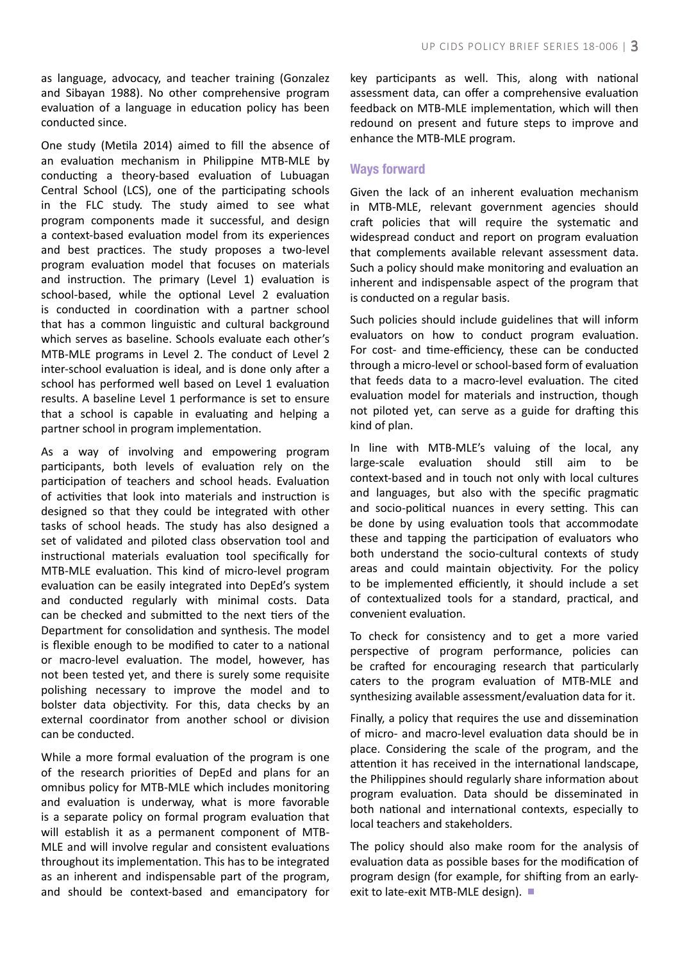as language, advocacy, and teacher training (Gonzalez and Sibayan 1988). No other comprehensive program evaluation of a language in education policy has been conducted since.

One study (Metila 2014) aimed to fill the absence of an evaluation mechanism in Philippine MTB-MLE by conducting a theory-based evaluation of Lubuagan Central School (LCS), one of the participating schools in the FLC study. The study aimed to see what program components made it successful, and design a context-based evaluation model from its experiences and best practices. The study proposes a two-level program evaluation model that focuses on materials and instruction. The primary (Level 1) evaluation is school-based, while the optional Level 2 evaluation is conducted in coordination with a partner school that has a common linguistic and cultural background which serves as baseline. Schools evaluate each other's MTB-MLE programs in Level 2. The conduct of Level 2 inter-school evaluation is ideal, and is done only after a school has performed well based on Level 1 evaluation results. A baseline Level 1 performance is set to ensure that a school is capable in evaluating and helping a partner school in program implementation.

As a way of involving and empowering program participants, both levels of evaluation rely on the participation of teachers and school heads. Evaluation of activities that look into materials and instruction is designed so that they could be integrated with other tasks of school heads. The study has also designed a set of validated and piloted class observation tool and instructional materials evaluation tool specifically for MTB-MLE evaluation. This kind of micro-level program evaluation can be easily integrated into DepEd's system and conducted regularly with minimal costs. Data can be checked and submitted to the next tiers of the Department for consolidation and synthesis. The model is flexible enough to be modified to cater to a national or macro-level evaluation. The model, however, has not been tested yet, and there is surely some requisite polishing necessary to improve the model and to bolster data objectivity. For this, data checks by an external coordinator from another school or division can be conducted.

While a more formal evaluation of the program is one of the research priorities of DepEd and plans for an omnibus policy for MTB-MLE which includes monitoring and evaluation is underway, what is more favorable is a separate policy on formal program evaluation that will establish it as a permanent component of MTB-MLE and will involve regular and consistent evaluations throughout its implementation. This has to be integrated as an inherent and indispensable part of the program, and should be context-based and emancipatory for

key participants as well. This, along with national assessment data, can offer a comprehensive evaluation feedback on MTB-MLE implementation, which will then redound on present and future steps to improve and enhance the MTB-MLE program.

## Ways forward

Given the lack of an inherent evaluation mechanism in MTB-MLE, relevant government agencies should craft policies that will require the systematic and widespread conduct and report on program evaluation that complements available relevant assessment data. Such a policy should make monitoring and evaluation an inherent and indispensable aspect of the program that is conducted on a regular basis.

Such policies should include guidelines that will inform evaluators on how to conduct program evaluation. For cost- and time-efficiency, these can be conducted through a micro-level or school-based form of evaluation that feeds data to a macro-level evaluation. The cited evaluation model for materials and instruction, though not piloted yet, can serve as a guide for drafting this kind of plan.

In line with MTB-MLE's valuing of the local, any large-scale evaluation should still aim to be context-based and in touch not only with local cultures and languages, but also with the specific pragmatic and socio-political nuances in every setting. This can be done by using evaluation tools that accommodate these and tapping the participation of evaluators who both understand the socio-cultural contexts of study areas and could maintain objectivity. For the policy to be implemented efficiently, it should include a set of contextualized tools for a standard, practical, and convenient evaluation.

To check for consistency and to get a more varied perspective of program performance, policies can be crafted for encouraging research that particularly caters to the program evaluation of MTB-MLE and synthesizing available assessment/evaluation data for it.

Finally, a policy that requires the use and dissemination of micro- and macro-level evaluation data should be in place. Considering the scale of the program, and the attention it has received in the international landscape, the Philippines should regularly share information about program evaluation. Data should be disseminated in both national and international contexts, especially to local teachers and stakeholders.

The policy should also make room for the analysis of evaluation data as possible bases for the modification of program design (for example, for shifting from an earlyexit to late-exit MTB-MLE design). ■